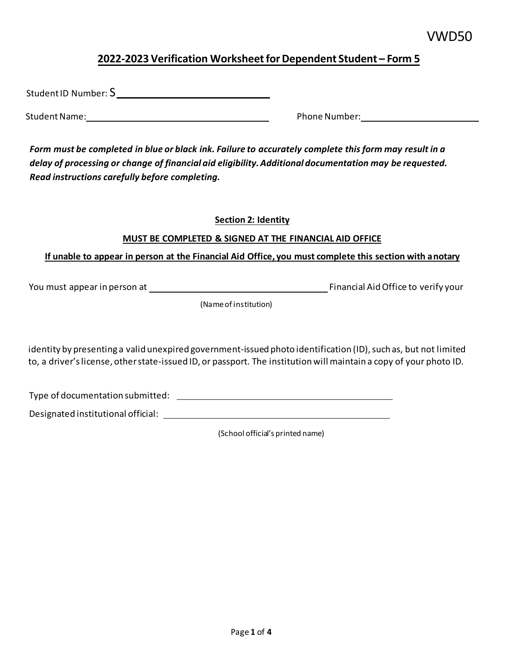## **2022-2023 Verification Worksheet for Dependent Student – Form 5**

Student ID Number: S

Student Name: Notation of the Student Number: Phone Number:

 *Form must be completed in blue or black ink. Failure to accurately complete this form may result in a delay of processing or change of financial aid eligibility. Additional documentation may be requested. Read instructions carefully before completing.* 

## **Section 2: Identity**

## **MUST BE COMPLETED & SIGNED AT THE FINANCIAL AID OFFICE**

#### . **If unable to appear in person at the Financial Aid Office, you must complete this section with anotary**

You must appear in person at Financial Aid Office to verify your

(Name of institution)

 to, a driver's license, other state-issued ID, or passport. The institution will maintain a copy of your photo ID. identity by presenting a valid unexpired government-issued photo identification (ID), such as, but not limited

Type of documentation submitted:

Designated institutional official: \\sqrt{\sqrt{\sqrt{\sqrt{\sqrt{\sqrt{\sqrt{\sqrt{\sqrt{\sqrt{\sqrt{\sqrt{\sqrt{\sqrt{\sqrt{\sqrt{\sqrt{\sqrt{\sqrt{\sqrt{\sqrt{\sqrt{\sqrt{\sqrt{\sqrt{\sqrt{\sqrt{\sqrt{\sqrt{\sqrt{\sqrt{

(School official's printed name)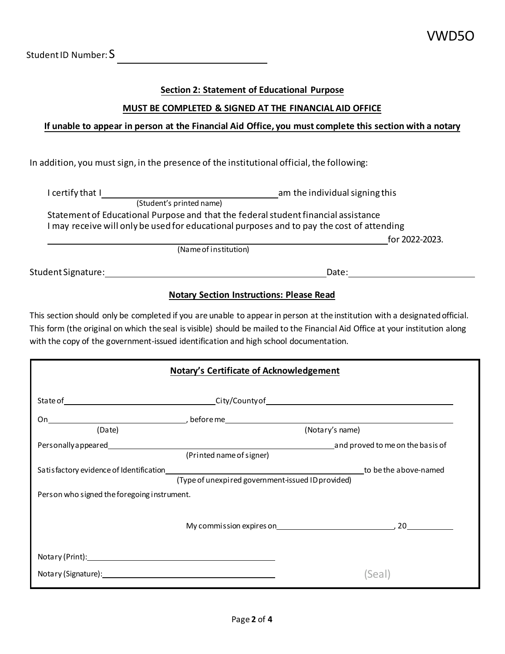Student ID Number:  $S$ 

## **Section 2: Statement of Educational Purpose**

## **MUST BE COMPLETED & SIGNED AT THE FINANCIAL AID OFFICE**

### **If unable to appear in person at the Financial Aid Office, you must complete this section with a notary**

In addition, you must sign, in the presence of the institutional official, the following:

| I certify that I         | am the individual signing this                                                            |
|--------------------------|-------------------------------------------------------------------------------------------|
| (Student's printed name) |                                                                                           |
|                          | Statement of Educational Purpose and that the federal student financial assistance        |
|                          | I may receive will only be used for educational purposes and to pay the cost of attending |
|                          | for 2022-2023.                                                                            |
|                          | (Name of institution)                                                                     |
| Student Signature:       | Date:                                                                                     |

### **Notary Section Instructions: Please Read**

 This section should only be completed if you are unable to appear in person at the institution with a designated official. This form (the original on which the seal is visible) should be mailed to the Financial Aid Office at your institution along with the copy of the government-issued identification and high school documentation.

| <b>Notary's Certificate of Acknowledgement</b>                                                                                                                                                                                |                                                   |                 |  |  |  |
|-------------------------------------------------------------------------------------------------------------------------------------------------------------------------------------------------------------------------------|---------------------------------------------------|-----------------|--|--|--|
|                                                                                                                                                                                                                               |                                                   |                 |  |  |  |
|                                                                                                                                                                                                                               |                                                   |                 |  |  |  |
| (Date)                                                                                                                                                                                                                        |                                                   | (Notary's name) |  |  |  |
| Personally appeared example and proved to me on the basis of                                                                                                                                                                  |                                                   |                 |  |  |  |
|                                                                                                                                                                                                                               | (Printed name of signer)                          |                 |  |  |  |
|                                                                                                                                                                                                                               |                                                   |                 |  |  |  |
|                                                                                                                                                                                                                               | (Type of unexpired government-issued ID provided) |                 |  |  |  |
| Person who signed the foregoing instrument.                                                                                                                                                                                   |                                                   |                 |  |  |  |
|                                                                                                                                                                                                                               |                                                   |                 |  |  |  |
|                                                                                                                                                                                                                               |                                                   |                 |  |  |  |
|                                                                                                                                                                                                                               |                                                   |                 |  |  |  |
| Notary (Print): Notary (Print):                                                                                                                                                                                               |                                                   |                 |  |  |  |
|                                                                                                                                                                                                                               |                                                   |                 |  |  |  |
| Notary (Signature): Management Control of the Control of the Control of the Control of the Control of the Control of the Control of the Control of the Control of the Control of the Control of the Control of the Control of |                                                   | (Seal           |  |  |  |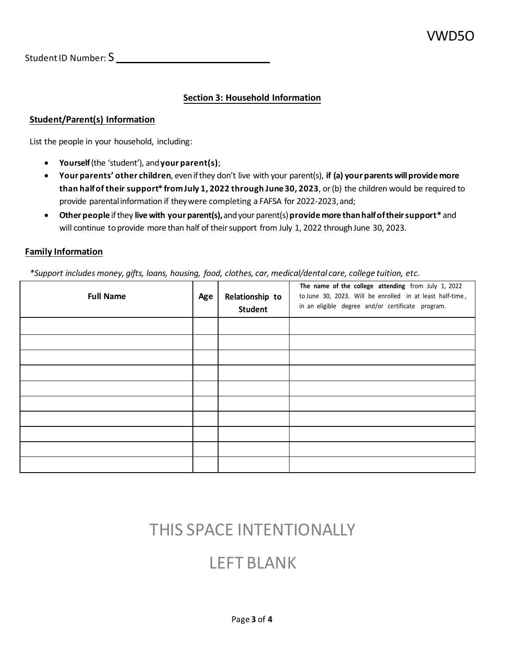Student ID Number: S\_\_\_\_\_\_\_\_\_\_\_

## **Section 3: Household Information**

### **Student/Parent(s) Information**

List the people in your household, including:

- **Yourself** (the 'student'), and **your parent(s)**;
- • **Your parents' other children**, even if they don't live with your parent(s), **if (a) your parents willprovide more than half of their support\* from July 1, 2022 through June 30, 2023**, or (b) the children would be required to provide parental information if they were completing a FAFSA for 2022-2023, and;
- **Other people** if they **live with your parent(s),** and your parent(s) **provide more thanhalf oftheir support\*** and will continue to provide more than half of their support from July 1, 2022 through June 30, 2023.

### **Family Information**

 *\*Support includes money, gifts, loans, housing, food, clothes, car, medical/dental care, college tuition, etc.* 

| <b>Full Name</b> | Age | Relationship to<br>Student | The name of the college attending from July 1, 2022<br>to June 30, 2023. Will be enrolled in at least half-time,<br>in an eligible degree and/or certificate program. |
|------------------|-----|----------------------------|-----------------------------------------------------------------------------------------------------------------------------------------------------------------------|
|                  |     |                            |                                                                                                                                                                       |
|                  |     |                            |                                                                                                                                                                       |
|                  |     |                            |                                                                                                                                                                       |
|                  |     |                            |                                                                                                                                                                       |
|                  |     |                            |                                                                                                                                                                       |
|                  |     |                            |                                                                                                                                                                       |
|                  |     |                            |                                                                                                                                                                       |
|                  |     |                            |                                                                                                                                                                       |
|                  |     |                            |                                                                                                                                                                       |
|                  |     |                            |                                                                                                                                                                       |

# THIS SPACE INTENTIONALLY

# LEFT BLANK